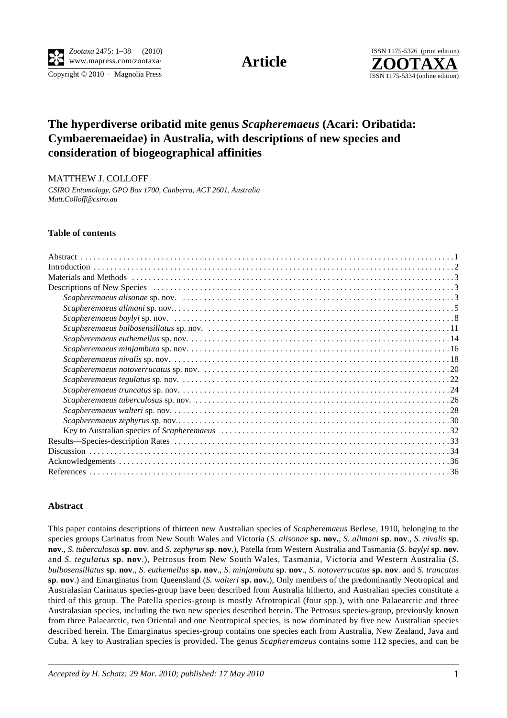

Copyright  $© 2010$  · Magnolia Press ISSN 1175-5334 (online edition)



## **The hyperdiverse oribatid mite genus** *Scapheremaeus* **(Acari: Oribatida: Cymbaeremaeidae) in Australia, with descriptions of new species and consideration of biogeographical affinities**

MATTHEW J. COLLOFF

*CSIRO Entomology, GPO Box 1700, Canberra, ACT 2601, Australia Matt.Colloff@csiro.au*

## **Table of contents**

## **Abstract**

This paper contains descriptions of thirteen new Australian species of *Scapheremaeus* Berlese, 1910, belonging to the species groups Carinatus from New South Wales and Victoria (*S. alisonae* **sp. nov.**, *S. allmani* **sp**. **nov**., *S. nivalis* **sp**. **nov**., *S. tuberculosus* **sp**. **nov**. and *S. zephyrus* **sp**. **nov**.), Patella from Western Australia and Tasmania (*S. baylyi* **sp**. **nov**. and *S. tegulatus* **sp**. **nov**.), Petrosus from New South Wales, Tasmania, Victoria and Western Australia (*S. bulbosensillatus* **sp**. **nov**., *S. euthemellus* **sp. nov**., *S. minjambuta* **sp**. **nov**., *S. notoverrucatus* **sp. nov**. and *S. truncatus* **sp**. **nov**.) and Emarginatus from Queensland (*S. walteri* **sp. nov.**), Only members of the predominantly Neotropical and Australasian Carinatus species-group have been described from Australia hitherto, and Australian species constitute a third of this group. The Patella species-group is mostly Afrotropical (four spp.), with one Palaearctic and three Australasian species, including the two new species described herein. The Petrosus species-group, previously known from three Palaearctic, two Oriental and one Neotropical species, is now dominated by five new Australian species described herein. The Emarginatus species-group contains one species each from Australia, New Zealand, Java and Cuba. A key to Australian species is provided. The genus *Scapheremaeus* contains some 112 species, and can be